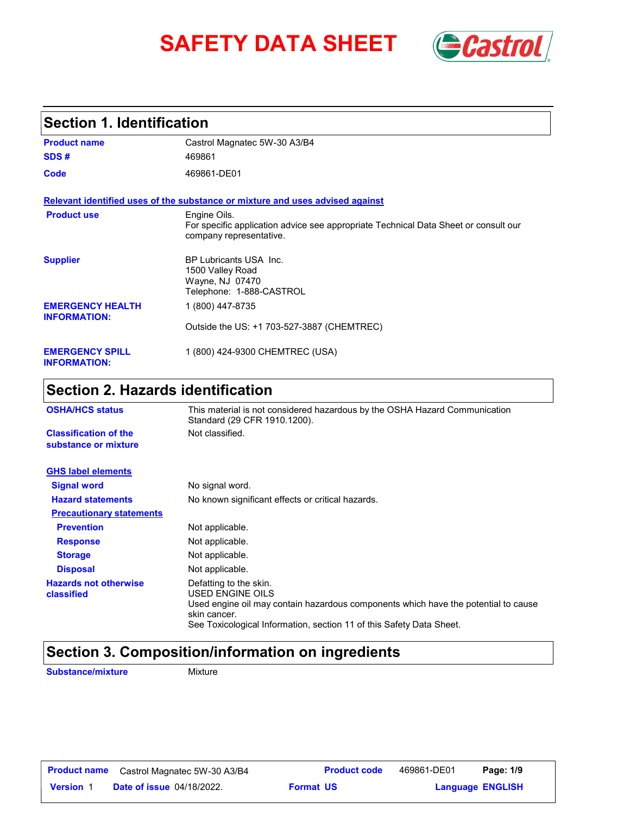# **SAFETY DATA SHEET** *Castrol*



# **Section 1. Identification**

| <b>Product name</b>                            | Castrol Magnatec 5W-30 A3/B4                                                                                                   |  |  |  |
|------------------------------------------------|--------------------------------------------------------------------------------------------------------------------------------|--|--|--|
| SDS#                                           | 469861                                                                                                                         |  |  |  |
| Code                                           | 469861-DE01                                                                                                                    |  |  |  |
|                                                | Relevant identified uses of the substance or mixture and uses advised against                                                  |  |  |  |
| <b>Product use</b>                             | Engine Oils.<br>For specific application advice see appropriate Technical Data Sheet or consult our<br>company representative. |  |  |  |
| <b>Supplier</b>                                | <b>BP Lubricants USA Inc.</b><br>1500 Valley Road<br>Wayne, NJ 07470<br>Telephone: 1-888-CASTROL                               |  |  |  |
| <b>EMERGENCY HEALTH</b><br><b>INFORMATION:</b> | 1 (800) 447-8735                                                                                                               |  |  |  |
|                                                | Outside the US: +1 703-527-3887 (CHEMTREC)                                                                                     |  |  |  |
| <b>EMERGENCY SPILL</b><br><b>INFORMATION:</b>  | 1 (800) 424-9300 CHEMTREC (USA)                                                                                                |  |  |  |

# **Section 2. Hazards identification**

| <b>OSHA/HCS status</b>                               | This material is not considered hazardous by the OSHA Hazard Communication<br>Standard (29 CFR 1910.1200).                                                                                                               |  |  |
|------------------------------------------------------|--------------------------------------------------------------------------------------------------------------------------------------------------------------------------------------------------------------------------|--|--|
| <b>Classification of the</b><br>substance or mixture | Not classified.                                                                                                                                                                                                          |  |  |
| <b>GHS label elements</b>                            |                                                                                                                                                                                                                          |  |  |
| <b>Signal word</b>                                   | No signal word.                                                                                                                                                                                                          |  |  |
| <b>Hazard statements</b>                             | No known significant effects or critical hazards.                                                                                                                                                                        |  |  |
| <b>Precautionary statements</b>                      |                                                                                                                                                                                                                          |  |  |
| <b>Prevention</b>                                    | Not applicable.                                                                                                                                                                                                          |  |  |
| <b>Response</b>                                      | Not applicable.                                                                                                                                                                                                          |  |  |
| <b>Storage</b>                                       | Not applicable.                                                                                                                                                                                                          |  |  |
| <b>Disposal</b>                                      | Not applicable.                                                                                                                                                                                                          |  |  |
| <b>Hazards not otherwise</b><br>classified           | Defatting to the skin.<br>USED ENGINE OILS<br>Used engine oil may contain hazardous components which have the potential to cause<br>skin cancer.<br>See Toxicological Information, section 11 of this Safety Data Sheet. |  |  |

# **Section 3. Composition/information on ingredients**

**Substance/mixture Mixture**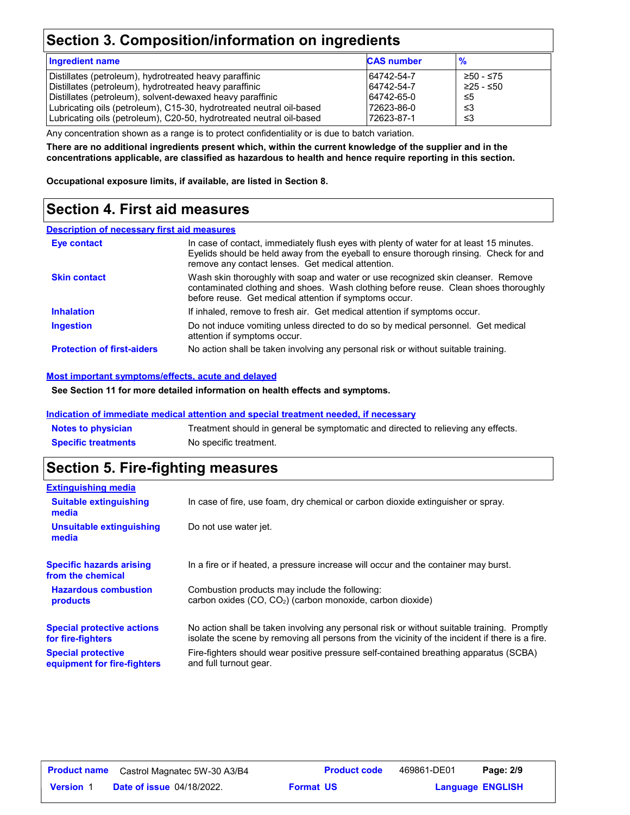# **Section 3. Composition/information on ingredients**

| <b>Ingredient name</b>                                               | <b>CAS number</b> | $\frac{9}{6}$ |
|----------------------------------------------------------------------|-------------------|---------------|
| Distillates (petroleum), hydrotreated heavy paraffinic               | 64742-54-7        | ≥50 - ≤75     |
| Distillates (petroleum), hydrotreated heavy paraffinic               | 64742-54-7        | ≥25 - ≤50     |
| Distillates (petroleum), solvent-dewaxed heavy paraffinic            | 64742-65-0        | ≤5            |
| Lubricating oils (petroleum), C15-30, hydrotreated neutral oil-based | 72623-86-0        | -≤3           |
| Lubricating oils (petroleum), C20-50, hydrotreated neutral oil-based | 72623-87-1        | -≤3           |

Any concentration shown as a range is to protect confidentiality or is due to batch variation.

**There are no additional ingredients present which, within the current knowledge of the supplier and in the concentrations applicable, are classified as hazardous to health and hence require reporting in this section.**

**Occupational exposure limits, if available, are listed in Section 8.**

# **Section 4. First aid measures**

### **Description of necessary first aid measures**

| Eye contact                       | In case of contact, immediately flush eyes with plenty of water for at least 15 minutes.<br>Eyelids should be held away from the eyeball to ensure thorough rinsing. Check for and<br>remove any contact lenses. Get medical attention. |
|-----------------------------------|-----------------------------------------------------------------------------------------------------------------------------------------------------------------------------------------------------------------------------------------|
| <b>Skin contact</b>               | Wash skin thoroughly with soap and water or use recognized skin cleanser. Remove<br>contaminated clothing and shoes. Wash clothing before reuse. Clean shoes thoroughly<br>before reuse. Get medical attention if symptoms occur.       |
| <b>Inhalation</b>                 | If inhaled, remove to fresh air. Get medical attention if symptoms occur.                                                                                                                                                               |
| <b>Ingestion</b>                  | Do not induce vomiting unless directed to do so by medical personnel. Get medical<br>attention if symptoms occur.                                                                                                                       |
| <b>Protection of first-aiders</b> | No action shall be taken involving any personal risk or without suitable training.                                                                                                                                                      |

### **Most important symptoms/effects, acute and delayed**

**See Section 11 for more detailed information on health effects and symptoms.**

### **Indication of immediate medical attention and special treatment needed, if necessary**

| <b>Notes to physician</b>  | Treatment should in general be symptomatic and directed to relieving any effects. |
|----------------------------|-----------------------------------------------------------------------------------|
| <b>Specific treatments</b> | No specific treatment.                                                            |

# **Section 5. Fire-fighting measures**

| <b>Extinguishing media</b>                                                                                                                                          |                                                                                                                                                                                                |  |  |
|---------------------------------------------------------------------------------------------------------------------------------------------------------------------|------------------------------------------------------------------------------------------------------------------------------------------------------------------------------------------------|--|--|
| <b>Suitable extinguishing</b><br>media                                                                                                                              | In case of fire, use foam, dry chemical or carbon dioxide extinguisher or spray.                                                                                                               |  |  |
| Unsuitable extinguishing<br>media                                                                                                                                   | Do not use water jet.                                                                                                                                                                          |  |  |
| <b>Specific hazards arising</b><br>from the chemical                                                                                                                | In a fire or if heated, a pressure increase will occur and the container may burst.                                                                                                            |  |  |
| <b>Hazardous combustion</b><br>Combustion products may include the following:<br>carbon oxides (CO, CO <sub>2</sub> ) (carbon monoxide, carbon dioxide)<br>products |                                                                                                                                                                                                |  |  |
| <b>Special protective actions</b><br>for fire-fighters                                                                                                              | No action shall be taken involving any personal risk or without suitable training. Promptly<br>isolate the scene by removing all persons from the vicinity of the incident if there is a fire. |  |  |
| <b>Special protective</b><br>equipment for fire-fighters                                                                                                            | Fire-fighters should wear positive pressure self-contained breathing apparatus (SCBA)<br>and full turnout gear.                                                                                |  |  |

| <b>Product name</b> | Castrol Magnatec 5W-30 A3/B4     | <b>Product code</b> | 469861-DE01 | Page: 2/9               |  |
|---------------------|----------------------------------|---------------------|-------------|-------------------------|--|
| <b>Version 1</b>    | <b>Date of issue 04/18/2022.</b> | <b>Format US</b>    |             | <b>Language ENGLISH</b> |  |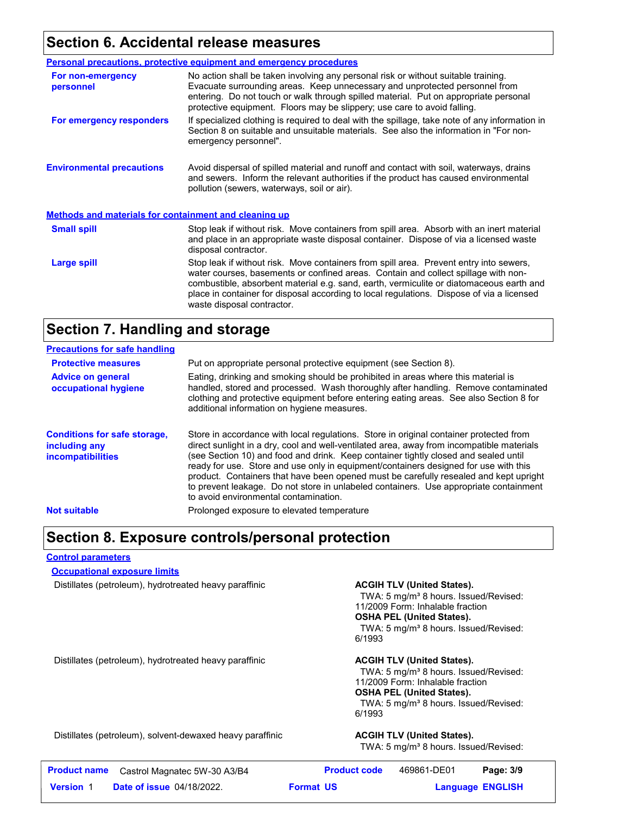# **Section 6. Accidental release measures**

|                                                              | <b>Personal precautions, protective equipment and emergency procedures</b>                                                                                                                                                                                                                                                                                                                         |  |  |
|--------------------------------------------------------------|----------------------------------------------------------------------------------------------------------------------------------------------------------------------------------------------------------------------------------------------------------------------------------------------------------------------------------------------------------------------------------------------------|--|--|
| For non-emergency<br>personnel                               | No action shall be taken involving any personal risk or without suitable training.<br>Evacuate surrounding areas. Keep unnecessary and unprotected personnel from<br>entering. Do not touch or walk through spilled material. Put on appropriate personal<br>protective equipment. Floors may be slippery; use care to avoid falling.                                                              |  |  |
| For emergency responders                                     | If specialized clothing is required to deal with the spillage, take note of any information in<br>Section 8 on suitable and unsuitable materials. See also the information in "For non-<br>emergency personnel".                                                                                                                                                                                   |  |  |
| <b>Environmental precautions</b>                             | Avoid dispersal of spilled material and runoff and contact with soil, waterways, drains<br>and sewers. Inform the relevant authorities if the product has caused environmental<br>pollution (sewers, waterways, soil or air).                                                                                                                                                                      |  |  |
| <b>Methods and materials for containment and cleaning up</b> |                                                                                                                                                                                                                                                                                                                                                                                                    |  |  |
| <b>Small spill</b>                                           | Stop leak if without risk. Move containers from spill area. Absorb with an inert material<br>and place in an appropriate waste disposal container. Dispose of via a licensed waste<br>disposal contractor.                                                                                                                                                                                         |  |  |
| Large spill                                                  | Stop leak if without risk. Move containers from spill area. Prevent entry into sewers,<br>water courses, basements or confined areas. Contain and collect spillage with non-<br>combustible, absorbent material e.g. sand, earth, vermiculite or diatomaceous earth and<br>place in container for disposal according to local regulations. Dispose of via a licensed<br>waste disposal contractor. |  |  |

### **Section 7. Handling and storage**

| <b>Precautions for safe handling</b>                                             |                                                                                                                                                                                                                                                                                                                                                                                                                                                                                                                                                                                               |
|----------------------------------------------------------------------------------|-----------------------------------------------------------------------------------------------------------------------------------------------------------------------------------------------------------------------------------------------------------------------------------------------------------------------------------------------------------------------------------------------------------------------------------------------------------------------------------------------------------------------------------------------------------------------------------------------|
| <b>Protective measures</b>                                                       | Put on appropriate personal protective equipment (see Section 8).                                                                                                                                                                                                                                                                                                                                                                                                                                                                                                                             |
| <b>Advice on general</b><br>occupational hygiene                                 | Eating, drinking and smoking should be prohibited in areas where this material is<br>handled, stored and processed. Wash thoroughly after handling. Remove contaminated<br>clothing and protective equipment before entering eating areas. See also Section 8 for<br>additional information on hygiene measures.                                                                                                                                                                                                                                                                              |
| <b>Conditions for safe storage,</b><br>including any<br><i>incompatibilities</i> | Store in accordance with local regulations. Store in original container protected from<br>direct sunlight in a dry, cool and well-ventilated area, away from incompatible materials<br>(see Section 10) and food and drink. Keep container tightly closed and sealed until<br>ready for use. Store and use only in equipment/containers designed for use with this<br>product. Containers that have been opened must be carefully resealed and kept upright<br>to prevent leakage. Do not store in unlabeled containers. Use appropriate containment<br>to avoid environmental contamination. |
| <b>Not suitable</b>                                                              | Prolonged exposure to elevated temperature                                                                                                                                                                                                                                                                                                                                                                                                                                                                                                                                                    |

### **Section 8. Exposure controls/personal protection**

### **Control parameters**

**Occupational exposure limits**

Distillates (petroleum), hydrotreated heavy paraffinic **ACGIH TLV (United States).**

TWA: 5 mg/m<sup>3</sup> 8 hours. Issued/Revised: 11/2009 Form: Inhalable fraction **OSHA PEL (United States).** TWA: 5 mg/m<sup>3</sup> 8 hours. Issued/Revised: 6/1993

Distillates (petroleum), hydrotreated heavy paraffinic **ACGIH TLV (United States).**

TWA: 5 mg/m<sup>3</sup> 8 hours. Issued/Revised: 11/2009 Form: Inhalable fraction **OSHA PEL (United States).** TWA: 5 mg/m<sup>3</sup> 8 hours. Issued/Revised: 6/1993

Distillates (petroleum), solvent-dewaxed heavy paraffinic **ACGIH TLV (United States).**

TWA: 5 mg/m<sup>3</sup> 8 hours. Issued/Revised:

| <b>Product name</b> | Castrol Magnatec 5W-30 A3/B4     | <b>Product code</b> | 469861-DE01 | Page: 3/9               |
|---------------------|----------------------------------|---------------------|-------------|-------------------------|
| <b>Version 1</b>    | <b>Date of issue 04/18/2022.</b> | <b>Format US</b>    |             | <b>Language ENGLISH</b> |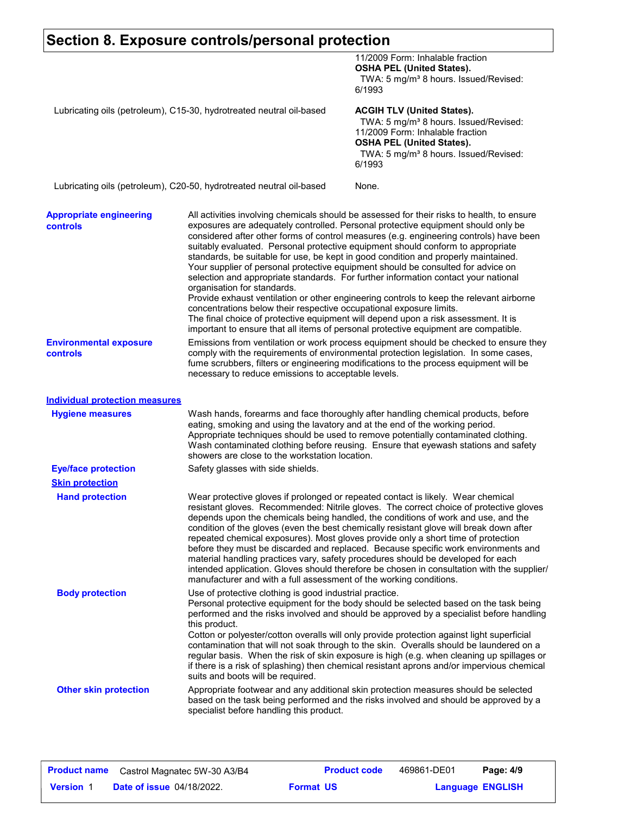|                                                                      | Section 8. Exposure controls/personal protection                                                                                                                                                                                                                                                                                                                                                                                                                                                                                                                                                                                                                                                                                                                                                                                                                                                                                                                                                           |                                                                                                                                                                                                                                                                                                                                                                                                                                                                                                                                                                                                                                                                                                                         |  |
|----------------------------------------------------------------------|------------------------------------------------------------------------------------------------------------------------------------------------------------------------------------------------------------------------------------------------------------------------------------------------------------------------------------------------------------------------------------------------------------------------------------------------------------------------------------------------------------------------------------------------------------------------------------------------------------------------------------------------------------------------------------------------------------------------------------------------------------------------------------------------------------------------------------------------------------------------------------------------------------------------------------------------------------------------------------------------------------|-------------------------------------------------------------------------------------------------------------------------------------------------------------------------------------------------------------------------------------------------------------------------------------------------------------------------------------------------------------------------------------------------------------------------------------------------------------------------------------------------------------------------------------------------------------------------------------------------------------------------------------------------------------------------------------------------------------------------|--|
|                                                                      |                                                                                                                                                                                                                                                                                                                                                                                                                                                                                                                                                                                                                                                                                                                                                                                                                                                                                                                                                                                                            | 11/2009 Form: Inhalable fraction<br><b>OSHA PEL (United States).</b><br>TWA: 5 mg/m <sup>3</sup> 8 hours. Issued/Revised:                                                                                                                                                                                                                                                                                                                                                                                                                                                                                                                                                                                               |  |
| Lubricating oils (petroleum), C15-30, hydrotreated neutral oil-based |                                                                                                                                                                                                                                                                                                                                                                                                                                                                                                                                                                                                                                                                                                                                                                                                                                                                                                                                                                                                            | 6/1993<br><b>ACGIH TLV (United States).</b><br>TWA: 5 mg/m <sup>3</sup> 8 hours. Issued/Revised:                                                                                                                                                                                                                                                                                                                                                                                                                                                                                                                                                                                                                        |  |
|                                                                      |                                                                                                                                                                                                                                                                                                                                                                                                                                                                                                                                                                                                                                                                                                                                                                                                                                                                                                                                                                                                            | 11/2009 Form: Inhalable fraction<br><b>OSHA PEL (United States).</b><br>TWA: 5 mg/m <sup>3</sup> 8 hours. Issued/Revised:<br>6/1993                                                                                                                                                                                                                                                                                                                                                                                                                                                                                                                                                                                     |  |
|                                                                      | Lubricating oils (petroleum), C20-50, hydrotreated neutral oil-based                                                                                                                                                                                                                                                                                                                                                                                                                                                                                                                                                                                                                                                                                                                                                                                                                                                                                                                                       | None.                                                                                                                                                                                                                                                                                                                                                                                                                                                                                                                                                                                                                                                                                                                   |  |
| <b>Appropriate engineering</b><br><b>controls</b>                    | All activities involving chemicals should be assessed for their risks to health, to ensure<br>exposures are adequately controlled. Personal protective equipment should only be<br>considered after other forms of control measures (e.g. engineering controls) have been<br>suitably evaluated. Personal protective equipment should conform to appropriate<br>standards, be suitable for use, be kept in good condition and properly maintained.<br>Your supplier of personal protective equipment should be consulted for advice on<br>selection and appropriate standards. For further information contact your national<br>organisation for standards.<br>Provide exhaust ventilation or other engineering controls to keep the relevant airborne<br>concentrations below their respective occupational exposure limits.<br>The final choice of protective equipment will depend upon a risk assessment. It is<br>important to ensure that all items of personal protective equipment are compatible. |                                                                                                                                                                                                                                                                                                                                                                                                                                                                                                                                                                                                                                                                                                                         |  |
| <b>Environmental exposure</b><br>controls                            | Emissions from ventilation or work process equipment should be checked to ensure they<br>comply with the requirements of environmental protection legislation. In some cases,<br>fume scrubbers, filters or engineering modifications to the process equipment will be<br>necessary to reduce emissions to acceptable levels.                                                                                                                                                                                                                                                                                                                                                                                                                                                                                                                                                                                                                                                                              |                                                                                                                                                                                                                                                                                                                                                                                                                                                                                                                                                                                                                                                                                                                         |  |
| <b>Individual protection measures</b>                                |                                                                                                                                                                                                                                                                                                                                                                                                                                                                                                                                                                                                                                                                                                                                                                                                                                                                                                                                                                                                            |                                                                                                                                                                                                                                                                                                                                                                                                                                                                                                                                                                                                                                                                                                                         |  |
| <b>Hygiene measures</b>                                              | showers are close to the workstation location.                                                                                                                                                                                                                                                                                                                                                                                                                                                                                                                                                                                                                                                                                                                                                                                                                                                                                                                                                             | Wash hands, forearms and face thoroughly after handling chemical products, before<br>eating, smoking and using the lavatory and at the end of the working period.<br>Appropriate techniques should be used to remove potentially contaminated clothing.<br>Wash contaminated clothing before reusing. Ensure that eyewash stations and safety                                                                                                                                                                                                                                                                                                                                                                           |  |
| <b>Eye/face protection</b>                                           | Safety glasses with side shields.                                                                                                                                                                                                                                                                                                                                                                                                                                                                                                                                                                                                                                                                                                                                                                                                                                                                                                                                                                          |                                                                                                                                                                                                                                                                                                                                                                                                                                                                                                                                                                                                                                                                                                                         |  |
| <b>Skin protection</b>                                               |                                                                                                                                                                                                                                                                                                                                                                                                                                                                                                                                                                                                                                                                                                                                                                                                                                                                                                                                                                                                            |                                                                                                                                                                                                                                                                                                                                                                                                                                                                                                                                                                                                                                                                                                                         |  |
| <b>Hand protection</b>                                               | manufacturer and with a full assessment of the working conditions.                                                                                                                                                                                                                                                                                                                                                                                                                                                                                                                                                                                                                                                                                                                                                                                                                                                                                                                                         | Wear protective gloves if prolonged or repeated contact is likely. Wear chemical<br>resistant gloves. Recommended: Nitrile gloves. The correct choice of protective gloves<br>depends upon the chemicals being handled, the conditions of work and use, and the<br>condition of the gloves (even the best chemically resistant glove will break down after<br>repeated chemical exposures). Most gloves provide only a short time of protection<br>before they must be discarded and replaced. Because specific work environments and<br>material handling practices vary, safety procedures should be developed for each<br>intended application. Gloves should therefore be chosen in consultation with the supplier/ |  |
| <b>Body protection</b>                                               | Use of protective clothing is good industrial practice.<br>this product.<br>suits and boots will be required.                                                                                                                                                                                                                                                                                                                                                                                                                                                                                                                                                                                                                                                                                                                                                                                                                                                                                              | Personal protective equipment for the body should be selected based on the task being<br>performed and the risks involved and should be approved by a specialist before handling<br>Cotton or polyester/cotton overalls will only provide protection against light superficial<br>contamination that will not soak through to the skin. Overalls should be laundered on a<br>regular basis. When the risk of skin exposure is high (e.g. when cleaning up spillages or<br>if there is a risk of splashing) then chemical resistant aprons and/or impervious chemical                                                                                                                                                    |  |
| <b>Other skin protection</b>                                         | specialist before handling this product.                                                                                                                                                                                                                                                                                                                                                                                                                                                                                                                                                                                                                                                                                                                                                                                                                                                                                                                                                                   | Appropriate footwear and any additional skin protection measures should be selected<br>based on the task being performed and the risks involved and should be approved by a                                                                                                                                                                                                                                                                                                                                                                                                                                                                                                                                             |  |

Г

٦

| <b>Product name</b> | Castrol Magnatec 5W-30 A3/B4     |                  | <b>Product code</b> | 469861-DE01             | Page: 4/9 |  |
|---------------------|----------------------------------|------------------|---------------------|-------------------------|-----------|--|
| <b>Version 1</b>    | <b>Date of issue 04/18/2022.</b> | <b>Format US</b> |                     | <b>Language ENGLISH</b> |           |  |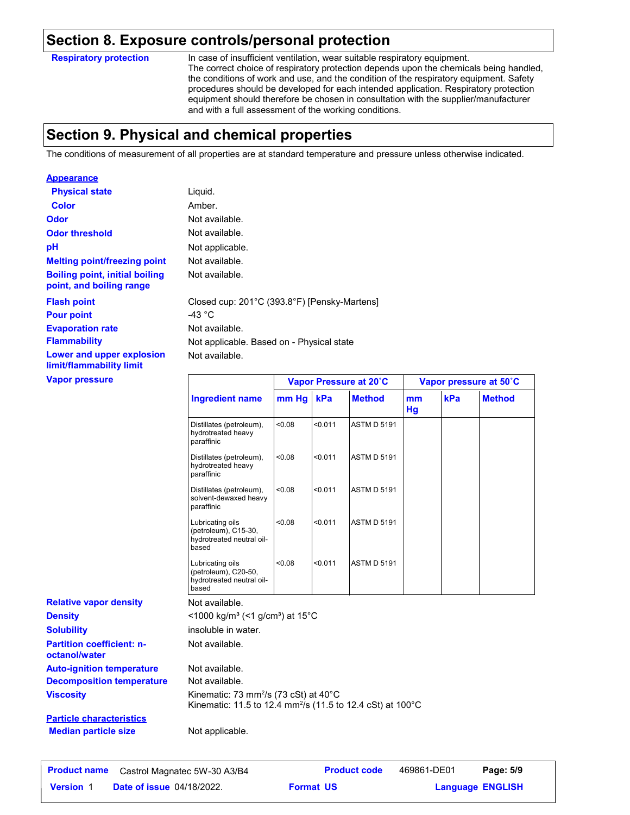### **Section 8. Exposure controls/personal protection**

**Respiratory protection**

**Appearance**

In case of insufficient ventilation, wear suitable respiratory equipment. The correct choice of respiratory protection depends upon the chemicals being handled, the conditions of work and use, and the condition of the respiratory equipment. Safety procedures should be developed for each intended application. Respiratory protection equipment should therefore be chosen in consultation with the supplier/manufacturer and with a full assessment of the working conditions.

# **Section 9. Physical and chemical properties**

The conditions of measurement of all properties are at standard temperature and pressure unless otherwise indicated.

| Appearance                                                        |                                           |                                              |  |
|-------------------------------------------------------------------|-------------------------------------------|----------------------------------------------|--|
| <b>Physical state</b>                                             | Liquid.                                   |                                              |  |
| <b>Color</b>                                                      | Amber.                                    |                                              |  |
| <b>Odor</b>                                                       | Not available.                            |                                              |  |
| <b>Odor threshold</b>                                             | Not available.                            |                                              |  |
| рH                                                                | Not applicable.                           |                                              |  |
| <b>Melting point/freezing point</b>                               | Not available.                            |                                              |  |
| <b>Boiling point, initial boiling</b><br>point, and boiling range | Not available.                            |                                              |  |
| <b>Flash point</b>                                                | -43 $^{\circ}$ C                          | Closed cup: 201°C (393.8°F) [Pensky-Martens] |  |
| <b>Pour point</b>                                                 |                                           |                                              |  |
| <b>Evaporation rate</b>                                           | Not available.                            |                                              |  |
| <b>Flammability</b>                                               | Not applicable. Based on - Physical state |                                              |  |
| Lower and upper explosion<br>limit/flammability limit             | Not available.                            |                                              |  |
| <b>Vapor pressure</b>                                             |                                           | Vapor Pressure at 20°C                       |  |

| Vapor pressure                                    |                                                                                                                                       | Vapor Pressure at 20°C |         |                    |                 | Vapor pressure at 50°C |               |
|---------------------------------------------------|---------------------------------------------------------------------------------------------------------------------------------------|------------------------|---------|--------------------|-----------------|------------------------|---------------|
|                                                   | <b>Ingredient name</b>                                                                                                                | mm Hg                  | kPa     | <b>Method</b>      | mm<br><b>Hg</b> | kPa                    | <b>Method</b> |
|                                                   | Distillates (petroleum),<br>hydrotreated heavy<br>paraffinic                                                                          | < 0.08                 | < 0.011 | <b>ASTM D 5191</b> |                 |                        |               |
|                                                   | Distillates (petroleum),<br>hydrotreated heavy<br>paraffinic                                                                          | < 0.08                 | < 0.011 | <b>ASTM D 5191</b> |                 |                        |               |
|                                                   | Distillates (petroleum),<br>solvent-dewaxed heavy<br>paraffinic                                                                       | < 0.08                 | < 0.011 | <b>ASTM D 5191</b> |                 |                        |               |
|                                                   | Lubricating oils<br>(petroleum), C15-30,<br>hydrotreated neutral oil-<br>based                                                        | < 0.08                 | < 0.011 | <b>ASTM D 5191</b> |                 |                        |               |
|                                                   | Lubricating oils<br>(petroleum), C20-50,<br>hydrotreated neutral oil-<br>based                                                        | < 0.08                 | < 0.011 | <b>ASTM D 5191</b> |                 |                        |               |
| <b>Relative vapor density</b>                     | Not available.                                                                                                                        |                        |         |                    |                 |                        |               |
| <b>Density</b>                                    | $<$ 1000 kg/m <sup>3</sup> (<1 g/cm <sup>3</sup> ) at 15 <sup>°</sup> C                                                               |                        |         |                    |                 |                        |               |
| <b>Solubility</b>                                 | insoluble in water.                                                                                                                   |                        |         |                    |                 |                        |               |
| <b>Partition coefficient: n-</b><br>octanol/water | Not available.                                                                                                                        |                        |         |                    |                 |                        |               |
| <b>Auto-ignition temperature</b>                  | Not available.                                                                                                                        |                        |         |                    |                 |                        |               |
| <b>Decomposition temperature</b>                  | Not available.                                                                                                                        |                        |         |                    |                 |                        |               |
| <b>Viscosity</b>                                  | Kinematic: 73 mm <sup>2</sup> /s (73 cSt) at $40^{\circ}$ C<br>Kinematic: 11.5 to 12.4 mm <sup>2</sup> /s (11.5 to 12.4 cSt) at 100°C |                        |         |                    |                 |                        |               |
| Particle characteristics                          |                                                                                                                                       |                        |         |                    |                 |                        |               |

**Particle characteristics Median particle size** Not applicable.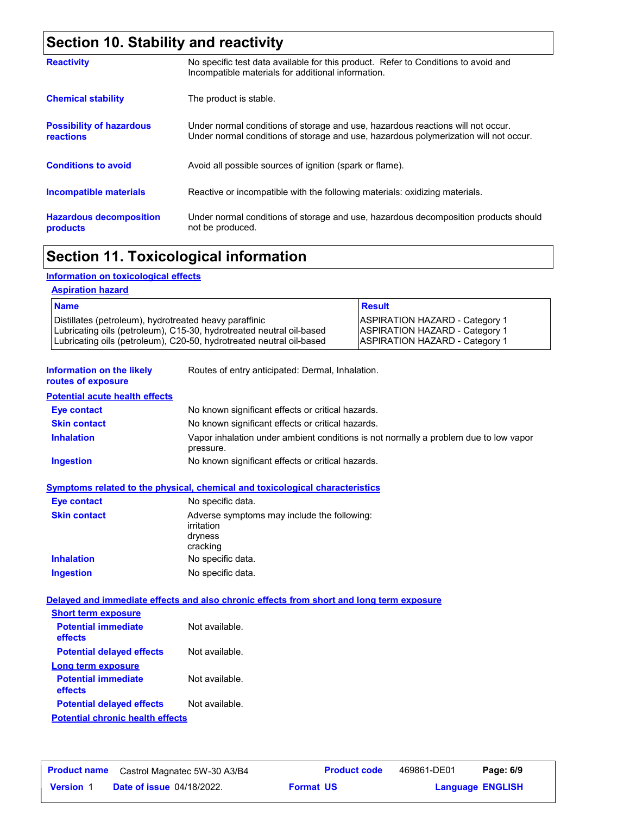# **Section 10. Stability and reactivity**

| <b>Reactivity</b>                                   | No specific test data available for this product. Refer to Conditions to avoid and<br>Incompatible materials for additional information.                                |
|-----------------------------------------------------|-------------------------------------------------------------------------------------------------------------------------------------------------------------------------|
| <b>Chemical stability</b>                           | The product is stable.                                                                                                                                                  |
| <b>Possibility of hazardous</b><br><b>reactions</b> | Under normal conditions of storage and use, hazardous reactions will not occur.<br>Under normal conditions of storage and use, hazardous polymerization will not occur. |
| <b>Conditions to avoid</b>                          | Avoid all possible sources of ignition (spark or flame).                                                                                                                |
| <b>Incompatible materials</b>                       | Reactive or incompatible with the following materials: oxidizing materials.                                                                                             |
| <b>Hazardous decomposition</b><br>products          | Under normal conditions of storage and use, hazardous decomposition products should<br>not be produced.                                                                 |

# **Section 11. Toxicological information**

### **Information on toxicological effects**

| <b>Name</b>                                                          | <b>Result</b>                         |
|----------------------------------------------------------------------|---------------------------------------|
| Distillates (petroleum), hydrotreated heavy paraffinic               | <b>ASPIRATION HAZARD - Category 1</b> |
| Lubricating oils (petroleum), C15-30, hydrotreated neutral oil-based | <b>ASPIRATION HAZARD - Category 1</b> |
| Lubricating oils (petroleum), C20-50, hydrotreated neutral oil-based | <b>ASPIRATION HAZARD - Category 1</b> |

| information on the likely<br>routes of exposure | Routes of entry anticipated: Dermal, innalation.                                                  |
|-------------------------------------------------|---------------------------------------------------------------------------------------------------|
| <b>Potential acute health effects</b>           |                                                                                                   |
| Eye contact                                     | No known significant effects or critical hazards.                                                 |
| <b>Skin contact</b>                             | No known significant effects or critical hazards.                                                 |
| <b>Inhalation</b>                               | Vapor inhalation under ambient conditions is not normally a problem due to low vapor<br>pressure. |
| <b>Ingestion</b>                                | No known significant effects or critical hazards.                                                 |

### **Symptoms related to the physical, chemical and toxicological characteristics**

| Eye contact         | No specific data.                                                                |
|---------------------|----------------------------------------------------------------------------------|
| <b>Skin contact</b> | Adverse symptoms may include the following:<br>irritation<br>dryness<br>cracking |
| <b>Inhalation</b>   | No specific data.                                                                |
| <b>Ingestion</b>    | No specific data.                                                                |

### **Delayed and immediate effects and also chronic effects from short and long term exposure**

| <b>Short term exposure</b>              |                |  |  |  |
|-----------------------------------------|----------------|--|--|--|
| <b>Potential immediate</b><br>effects   | Not available. |  |  |  |
| <b>Potential delayed effects</b>        | Not available. |  |  |  |
| Long term exposure                      |                |  |  |  |
| <b>Potential immediate</b><br>effects   | Not available. |  |  |  |
| <b>Potential delayed effects</b>        | Not available. |  |  |  |
| <b>Potential chronic health effects</b> |                |  |  |  |

|                  | <b>Product name</b> Castrol Magnatec 5W-30 A3/B4 | <b>Product code</b> | 469861-DE01 | Page: 6/9               |  |
|------------------|--------------------------------------------------|---------------------|-------------|-------------------------|--|
| <b>Version 1</b> | <b>Date of issue 04/18/2022.</b>                 | <b>Format US</b>    |             | <b>Language ENGLISH</b> |  |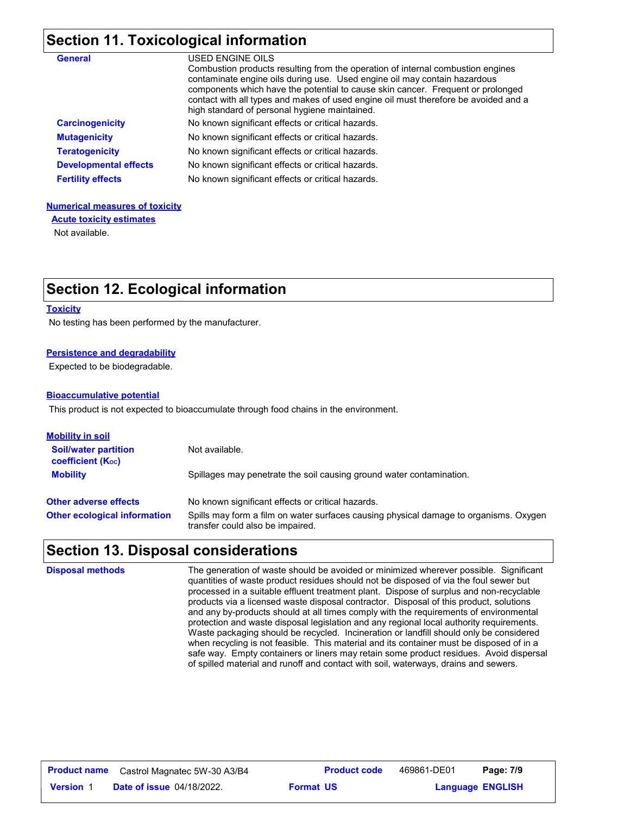# **Section 11. Toxicological information**

| <b>General</b>               | USED ENGINE OILS<br>Combustion products resulting from the operation of internal combustion engines<br>contaminate engine oils during use. Used engine oil may contain hazardous<br>components which have the potential to cause skin cancer. Frequent or prolonged<br>contact with all types and makes of used engine oil must therefore be avoided and a<br>high standard of personal hygiene maintained. |
|------------------------------|-------------------------------------------------------------------------------------------------------------------------------------------------------------------------------------------------------------------------------------------------------------------------------------------------------------------------------------------------------------------------------------------------------------|
| <b>Carcinogenicity</b>       | No known significant effects or critical hazards.                                                                                                                                                                                                                                                                                                                                                           |
| <b>Mutagenicity</b>          | No known significant effects or critical hazards.                                                                                                                                                                                                                                                                                                                                                           |
| <b>Teratogenicity</b>        | No known significant effects or critical hazards.                                                                                                                                                                                                                                                                                                                                                           |
| <b>Developmental effects</b> | No known significant effects or critical hazards.                                                                                                                                                                                                                                                                                                                                                           |
| <b>Fertility effects</b>     | No known significant effects or critical hazards.                                                                                                                                                                                                                                                                                                                                                           |

### **Numerical measures of toxicity**

**Acute toxicity estimates**

Not available.

# **Section 12. Ecological information**

### **Toxicity**

No testing has been performed by the manufacturer.

### **Persistence and degradability**

Expected to be biodegradable.

### **Bioaccumulative potential**

This product is not expected to bioaccumulate through food chains in the environment.

| <u>Mobility in soil</u>                                 |                                                                                                                           |
|---------------------------------------------------------|---------------------------------------------------------------------------------------------------------------------------|
| <b>Soil/water partition</b><br><b>coefficient (Koc)</b> | Not available.                                                                                                            |
| <b>Mobility</b>                                         | Spillages may penetrate the soil causing ground water contamination.                                                      |
| <b>Other adverse effects</b>                            | No known significant effects or critical hazards.                                                                         |
| <b>Other ecological information</b>                     | Spills may form a film on water surfaces causing physical damage to organisms. Oxygen<br>transfer could also be impaired. |

# **Section 13. Disposal considerations**

| <b>Disposal methods</b> | The generation of waste should be avoided or minimized wherever possible. Significant<br>quantities of waste product residues should not be disposed of via the foul sewer but<br>processed in a suitable effluent treatment plant. Dispose of surplus and non-recyclable<br>products via a licensed waste disposal contractor. Disposal of this product, solutions<br>and any by-products should at all times comply with the requirements of environmental<br>protection and waste disposal legislation and any regional local authority requirements.<br>Waste packaging should be recycled. Incineration or landfill should only be considered<br>when recycling is not feasible. This material and its container must be disposed of in a<br>safe way. Empty containers or liners may retain some product residues. Avoid dispersal |
|-------------------------|------------------------------------------------------------------------------------------------------------------------------------------------------------------------------------------------------------------------------------------------------------------------------------------------------------------------------------------------------------------------------------------------------------------------------------------------------------------------------------------------------------------------------------------------------------------------------------------------------------------------------------------------------------------------------------------------------------------------------------------------------------------------------------------------------------------------------------------|
|                         | of spilled material and runoff and contact with soil, waterways, drains and sewers.                                                                                                                                                                                                                                                                                                                                                                                                                                                                                                                                                                                                                                                                                                                                                      |

| <b>Product name</b> | Castrol Magnatec 5W-30 A3/B4     | <b>Product code</b> | 469861-DE01             | Page: 7/9 |  |
|---------------------|----------------------------------|---------------------|-------------------------|-----------|--|
| <b>Version 1</b>    | <b>Date of issue 04/18/2022.</b> | <b>Format US</b>    | <b>Language ENGLISH</b> |           |  |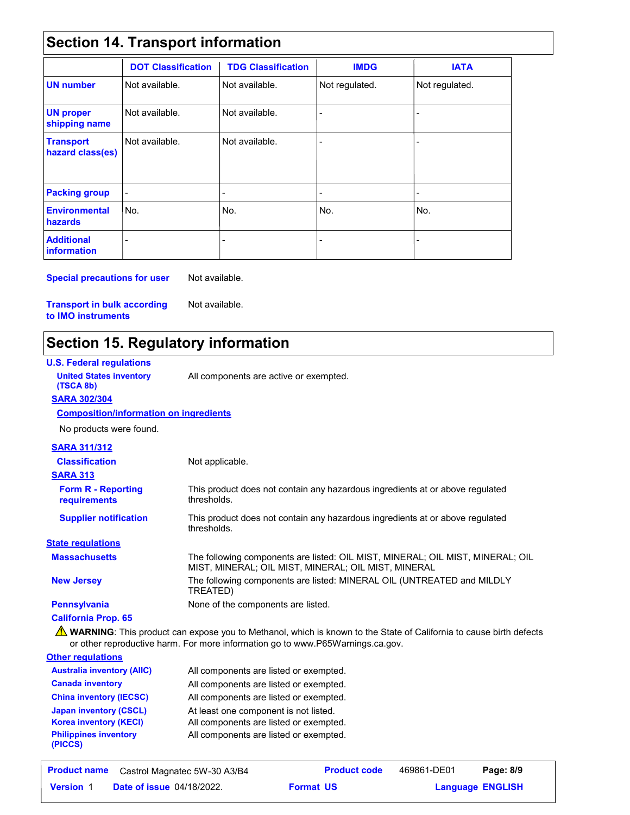# **Section 14. Transport information**

|                                      | <b>DOT Classification</b> | <b>TDG Classification</b> | <b>IMDG</b>              | <b>IATA</b>    |
|--------------------------------------|---------------------------|---------------------------|--------------------------|----------------|
| <b>UN number</b>                     | Not available.            | Not available.            | Not regulated.           | Not regulated. |
| <b>UN proper</b><br>shipping name    | Not available.            | Not available.            |                          |                |
| <b>Transport</b><br>hazard class(es) | Not available.            | Not available.            |                          |                |
| <b>Packing group</b>                 | $\overline{a}$            | $\overline{\phantom{0}}$  | $\overline{\phantom{0}}$ | ۰              |
| <b>Environmental</b><br>hazards      | No.                       | No.                       | No.                      | No.            |
| <b>Additional</b><br>information     |                           |                           |                          |                |

**Special precautions for user** Not available.

**Transport in bulk according to IMO instruments**

**Japan inventory (CSCL) Korea inventory (KECI) Philippines inventory** 

**(PICCS)**

# **Section 15. Regulatory information**

Not available.

| <b>U.S. Federal regulations</b>               |                                                                                                                                                                                                        |
|-----------------------------------------------|--------------------------------------------------------------------------------------------------------------------------------------------------------------------------------------------------------|
| <b>United States inventory</b><br>(TSCA 8b)   | All components are active or exempted.                                                                                                                                                                 |
| <b>SARA 302/304</b>                           |                                                                                                                                                                                                        |
| <b>Composition/information on ingredients</b> |                                                                                                                                                                                                        |
| No products were found.                       |                                                                                                                                                                                                        |
| <b>SARA 311/312</b>                           |                                                                                                                                                                                                        |
| <b>Classification</b>                         | Not applicable.                                                                                                                                                                                        |
| <b>SARA 313</b>                               |                                                                                                                                                                                                        |
| <b>Form R - Reporting</b><br>requirements     | This product does not contain any hazardous ingredients at or above regulated<br>thresholds.                                                                                                           |
| <b>Supplier notification</b>                  | This product does not contain any hazardous ingredients at or above regulated<br>thresholds.                                                                                                           |
| <b>State regulations</b>                      |                                                                                                                                                                                                        |
| <b>Massachusetts</b>                          | The following components are listed: OIL MIST, MINERAL; OIL MIST, MINERAL; OIL<br>MIST, MINERAL; OIL MIST, MINERAL; OIL MIST, MINERAL                                                                  |
| <b>New Jersey</b>                             | The following components are listed: MINERAL OIL (UNTREATED and MILDLY<br>TREATED)                                                                                                                     |
| <b>Pennsylvania</b>                           | None of the components are listed.                                                                                                                                                                     |
| <b>California Prop. 65</b>                    |                                                                                                                                                                                                        |
|                                               | A WARNING: This product can expose you to Methanol, which is known to the State of California to cause birth defects<br>or other reproductive harm. For more information go to www.P65Warnings.ca.gov. |
| <b>Other regulations</b>                      |                                                                                                                                                                                                        |
| <b>Australia inventory (AIIC)</b>             | All components are listed or exempted.                                                                                                                                                                 |
| <b>Canada inventory</b>                       | All components are listed or exempted.                                                                                                                                                                 |
| <b>China inventory (IECSC)</b>                | All components are listed or exempted.                                                                                                                                                                 |

At least one component is not listed. All components are listed or exempted. All components are listed or exempted.

**Date of issue** 04/18/2022. **Version** 1 **Format Language**

**Product name** Castrol Magnatec 5W-30 A3/B4 **Product code** 469861-DE01 **Page: 8/9**

**Format US** 

**Language ENGLISH** 

469861-DE01